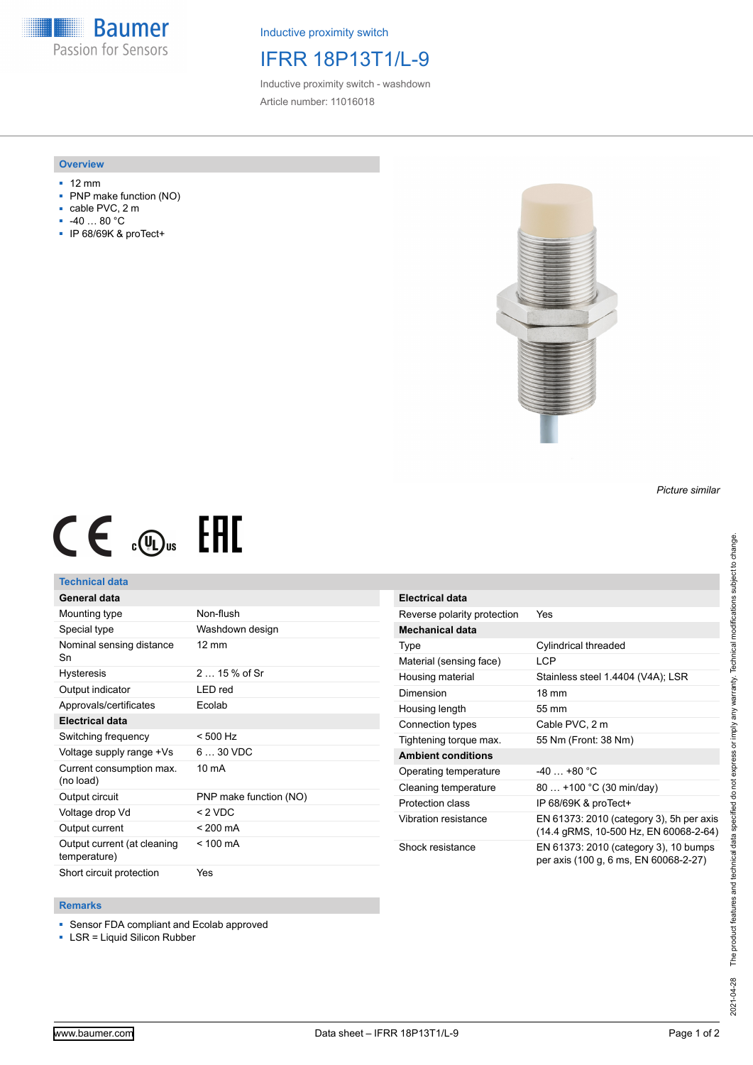**Baumer** Passion for Sensors

Inductive proximity switch

# IFRR 18P13T1/L-9

Inductive proximity switch - washdown Article number: 11016018

#### **Overview**

- 12 mm
- PNP make function (NO)
- cable PVC, 2 m
- -40 … 80 °C
- IP 68/69K & proTect+





## **Technical data**

### **General data**

| Mounting type                               | Non-flush              |
|---------------------------------------------|------------------------|
| Special type                                | Washdown design        |
| Nominal sensing distance<br>Sn              | $12 \text{ mm}$        |
| <b>Hysteresis</b>                           | $215%$ of Sr           |
| Output indicator                            | LED red                |
| Approvals/certificates                      | Ecolab                 |
| <b>Electrical data</b>                      |                        |
| Switching frequency                         | $< 500$ Hz             |
| Voltage supply range +Vs                    | $630$ VDC              |
| Current consumption max.<br>(no load)       | $10 \text{ mA}$        |
| Output circuit                              | PNP make function (NO) |
| Voltage drop Vd                             | $<$ 2 VDC              |
| Output current                              | $< 200 \text{ mA}$     |
| Output current (at cleaning<br>temperature) | $< 100 \text{ mA}$     |
| Short circuit protection                    | Yes                    |

| <b>Electrical data</b>      |                                                                                   |
|-----------------------------|-----------------------------------------------------------------------------------|
| Reverse polarity protection | Yes                                                                               |
| Mechanical data             |                                                                                   |
| Type                        | Cylindrical threaded                                                              |
| Material (sensing face)     | <b>LCP</b>                                                                        |
| Housing material            | Stainless steel 1.4404 (V4A); LSR                                                 |
| Dimension                   | $18 \text{ mm}$                                                                   |
| Housing length              | 55 mm                                                                             |
| Connection types            | Cable PVC, 2 m                                                                    |
| Tightening torque max.      | 55 Nm (Front: 38 Nm)                                                              |
| <b>Ambient conditions</b>   |                                                                                   |
| Operating temperature       | $-40+80 °C$                                                                       |
| Cleaning temperature        | 80  +100 °C (30 min/day)                                                          |
| Protection class            | IP 68/69K & proTect+                                                              |
| Vibration resistance        | EN 61373: 2010 (category 3), 5h per axis<br>(14.4 gRMS, 10-500 Hz, EN 60068-2-64) |
| Shock resistance            | EN 61373: 2010 (category 3), 10 bumps<br>per axis (100 g, 6 ms, EN 60068-2-27)    |

#### **Remarks**

- Sensor FDA compliant and Ecolab approved
- LSR = Liquid Silicon Rubber

*Picture similar*